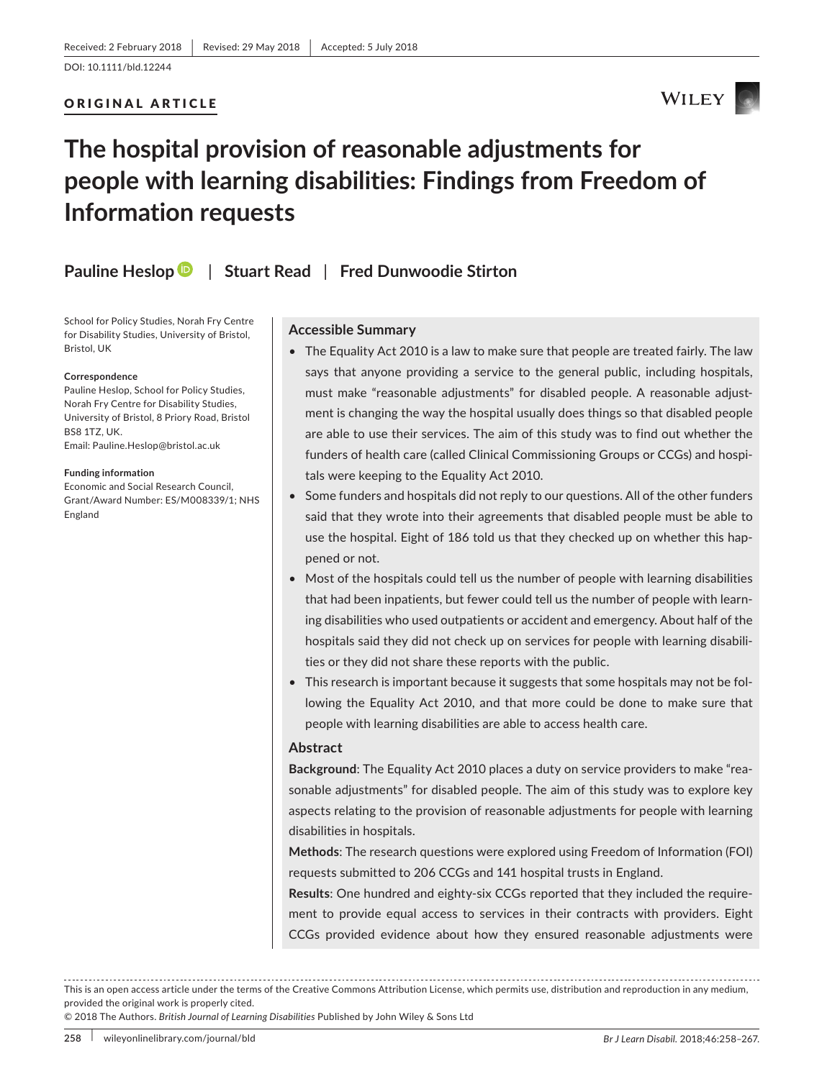#### ORIGINAL ARTICLE

# WILEY

# **The hospital provision of reasonable adjustments for people with learning disabilities: Findings from Freedom of Information requests**

**Pauline Heslo[p](http://orcid.org/0000-0002-8628-6868)** | **Stuart Read** | **Fred Dunwoodie Stirton**

School for Policy Studies, Norah Fry Centre for Disability Studies, University of Bristol, Bristol, UK

#### **Correspondence**

Pauline Heslop, School for Policy Studies, Norah Fry Centre for Disability Studies, University of Bristol, 8 Priory Road, Bristol BS8 1TZ, UK. Email: [Pauline.Heslop@bristol.ac.uk](mailto:Pauline.Heslop@bristol.ac.uk)

#### **Funding information**

Economic and Social Research Council, Grant/Award Number: ES/M008339/1; NHS England

#### **Accessible Summary**

- The Equality Act 2010 is a law to make sure that people are treated fairly. The law says that anyone providing a service to the general public, including hospitals, must make "reasonable adjustments" for disabled people. A reasonable adjustment is changing the way the hospital usually does things so that disabled people are able to use their services. The aim of this study was to find out whether the funders of health care (called Clinical Commissioning Groups or CCGs) and hospitals were keeping to the Equality Act 2010.
- Some funders and hospitals did not reply to our questions. All of the other funders said that they wrote into their agreements that disabled people must be able to use the hospital. Eight of 186 told us that they checked up on whether this happened or not.
- Most of the hospitals could tell us the number of people with learning disabilities that had been inpatients, but fewer could tell us the number of people with learning disabilities who used outpatients or accident and emergency. About half of the hospitals said they did not check up on services for people with learning disabilities or they did not share these reports with the public.
- This research is important because it suggests that some hospitals may not be following the Equality Act 2010, and that more could be done to make sure that people with learning disabilities are able to access health care.

#### **Abstract**

**Background**: The Equality Act 2010 places a duty on service providers to make "reasonable adjustments" for disabled people. The aim of this study was to explore key aspects relating to the provision of reasonable adjustments for people with learning disabilities in hospitals.

**Methods**: The research questions were explored using Freedom of Information (FOI) requests submitted to 206 CCGs and 141 hospital trusts in England.

**Results**: One hundred and eighty-six CCGs reported that they included the requirement to provide equal access to services in their contracts with providers. Eight CCGs provided evidence about how they ensured reasonable adjustments were

. . . . . . . . . . . . This is an open access article under the terms of the [Creative Commons Attribution](http://creativecommons.org/licenses/by/4.0/) License, which permits use, distribution and reproduction in any medium, provided the original work is properly cited.

© 2018 The Authors. *British Journal of Learning Disabilities* Published by John Wiley & Sons Ltd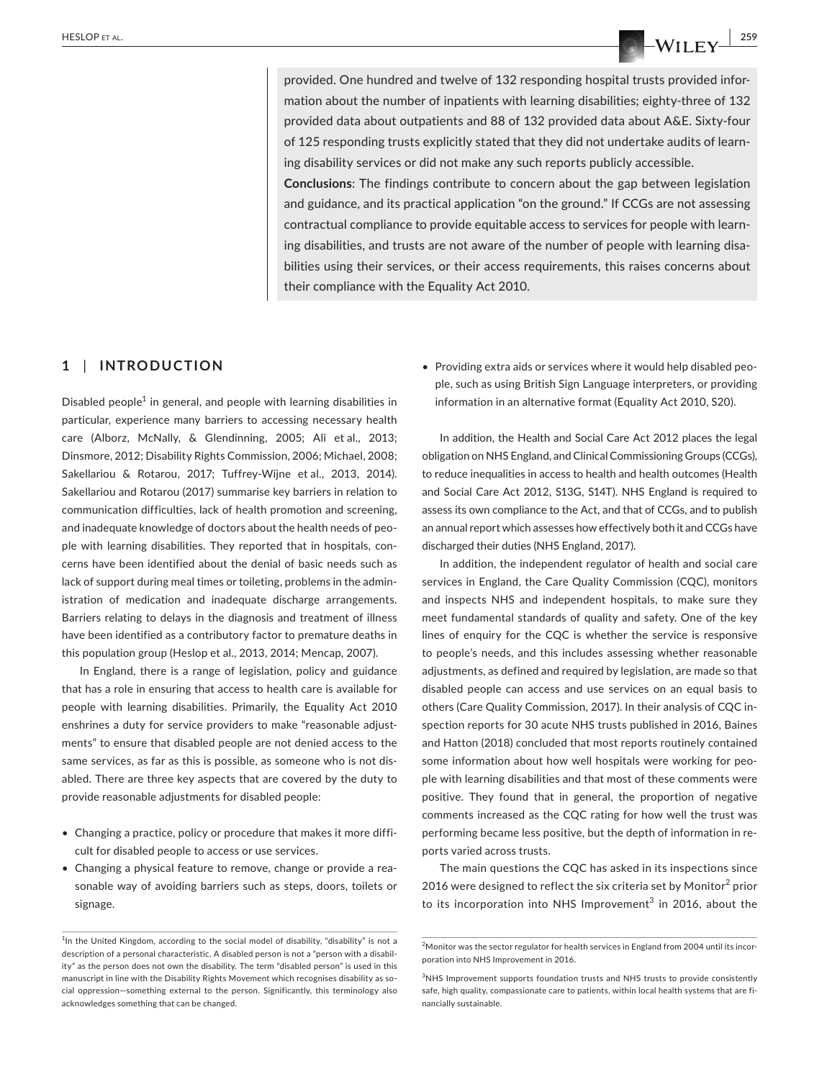provided. One hundred and twelve of 132 responding hospital trusts provided information about the number of inpatients with learning disabilities; eighty-three of 132 provided data about outpatients and 88 of 132 provided data about A&E. Sixty-four of 125 responding trusts explicitly stated that they did not undertake audits of learning disability services or did not make any such reports publicly accessible. **Conclusions**: The findings contribute to concern about the gap between legislation and guidance, and its practical application "on the ground." If CCGs are not assessing contractual compliance to provide equitable access to services for people with learn-

ing disabilities, and trusts are not aware of the number of people with learning disabilities using their services, or their access requirements, this raises concerns about their compliance with the Equality Act 2010.

### **1** | **INTRODUCTION**

Disabled people $^1$  in general, and people with learning disabilities in particular, experience many barriers to accessing necessary health care (Alborz, McNally, & Glendinning, 2005; Ali et al., 2013; Dinsmore, 2012; Disability Rights Commission, 2006; Michael, 2008; Sakellariou & Rotarou, 2017; Tuffrey-Wijne et al., 2013, 2014). Sakellariou and Rotarou (2017) summarise key barriers in relation to communication difficulties, lack of health promotion and screening, and inadequate knowledge of doctors about the health needs of people with learning disabilities. They reported that in hospitals, concerns have been identified about the denial of basic needs such as lack of support during meal times or toileting, problems in the administration of medication and inadequate discharge arrangements. Barriers relating to delays in the diagnosis and treatment of illness have been identified as a contributory factor to premature deaths in this population group (Heslop et al., 2013, 2014; Mencap, 2007).

In England, there is a range of legislation, policy and guidance that has a role in ensuring that access to health care is available for people with learning disabilities. Primarily, the Equality Act 2010 enshrines a duty for service providers to make "reasonable adjustments" to ensure that disabled people are not denied access to the same services, as far as this is possible, as someone who is not disabled. There are three key aspects that are covered by the duty to provide reasonable adjustments for disabled people:

- Changing a practice, policy or procedure that makes it more difficult for disabled people to access or use services.
- Changing a physical feature to remove, change or provide a reasonable way of avoiding barriers such as steps, doors, toilets or signage.

• Providing extra aids or services where it would help disabled people, such as using British Sign Language interpreters, or providing information in an alternative format (Equality Act 2010, S20).

In addition, the Health and Social Care Act 2012 places the legal obligation on NHS England, and Clinical Commissioning Groups (CCGs), to reduce inequalities in access to health and health outcomes (Health and Social Care Act 2012, S13G, S14T). NHS England is required to assess its own compliance to the Act, and that of CCGs, and to publish an annual report which assesses how effectively both it and CCGs have discharged their duties (NHS England, 2017).

In addition, the independent regulator of health and social care services in England, the Care Quality Commission (CQC), monitors and inspects NHS and independent hospitals, to make sure they meet fundamental standards of quality and safety. One of the key lines of enquiry for the CQC is whether the service is responsive to people's needs, and this includes assessing whether reasonable adjustments, as defined and required by legislation, are made so that disabled people can access and use services on an equal basis to others (Care Quality Commission, 2017). In their analysis of CQC inspection reports for 30 acute NHS trusts published in 2016, Baines and Hatton (2018) concluded that most reports routinely contained some information about how well hospitals were working for people with learning disabilities and that most of these comments were positive. They found that in general, the proportion of negative comments increased as the CQC rating for how well the trust was performing became less positive, but the depth of information in reports varied across trusts.

The main questions the CQC has asked in its inspections since 2016 were designed to reflect the six criteria set by Monitor<sup>2</sup> prior to its incorporation into NHS Improvement $^3$  in 2016, about the

 $^{4}$ In the United Kingdom, according to the social model of disability, "disability" is not a description of a personal characteristic. A disabled person is not a "person with a disability" as the person does not own the disability. The term "disabled person" is used in this manuscript in line with the Disability Rights Movement which recognises disability as social oppression—something external to the person. Significantly, this terminology also acknowledges something that can be changed.

<sup>&</sup>lt;sup>2</sup>Monitor was the sector regulator for health services in England from 2004 until its incorporation into NHS Improvement in 2016.

<sup>&</sup>lt;sup>3</sup>NHS Improvement supports foundation trusts and NHS trusts to provide consistently safe, high quality, compassionate care to patients, within local health systems that are financially sustainable.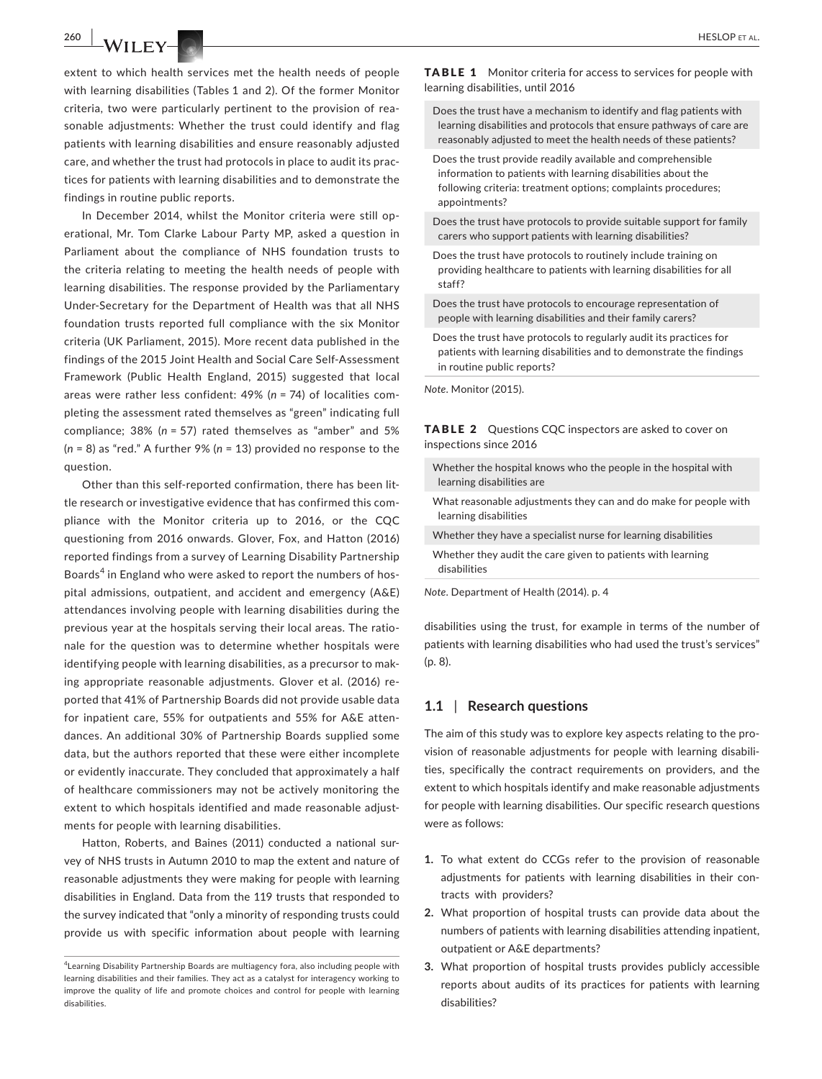**260 |**  HESLOP et al.

extent to which health services met the health needs of people with learning disabilities (Tables 1 and 2). Of the former Monitor criteria, two were particularly pertinent to the provision of reasonable adjustments: Whether the trust could identify and flag patients with learning disabilities and ensure reasonably adjusted care, and whether the trust had protocols in place to audit its practices for patients with learning disabilities and to demonstrate the findings in routine public reports.

In December 2014, whilst the Monitor criteria were still operational, Mr. Tom Clarke Labour Party MP, asked a question in Parliament about the compliance of NHS foundation trusts to the criteria relating to meeting the health needs of people with learning disabilities. The response provided by the Parliamentary Under-Secretary for the Department of Health was that all NHS foundation trusts reported full compliance with the six Monitor criteria (UK Parliament, 2015). More recent data published in the findings of the 2015 Joint Health and Social Care Self-Assessment Framework (Public Health England, 2015) suggested that local areas were rather less confident: 49% (*n* = 74) of localities completing the assessment rated themselves as "green" indicating full compliance; 38% (*n* = 57) rated themselves as "amber" and 5% (*n* = 8) as "red." A further 9% (*n* = 13) provided no response to the question.

Other than this self-reported confirmation, there has been little research or investigative evidence that has confirmed this compliance with the Monitor criteria up to 2016, or the CQC questioning from 2016 onwards. Glover, Fox, and Hatton (2016) reported findings from a survey of Learning Disability Partnership Boards<sup>4</sup> in England who were asked to report the numbers of hospital admissions, outpatient, and accident and emergency (A&E) attendances involving people with learning disabilities during the previous year at the hospitals serving their local areas. The rationale for the question was to determine whether hospitals were identifying people with learning disabilities, as a precursor to making appropriate reasonable adjustments. Glover et al. (2016) reported that 41% of Partnership Boards did not provide usable data for inpatient care, 55% for outpatients and 55% for A&E attendances. An additional 30% of Partnership Boards supplied some data, but the authors reported that these were either incomplete or evidently inaccurate. They concluded that approximately a half of healthcare commissioners may not be actively monitoring the extent to which hospitals identified and made reasonable adjustments for people with learning disabilities.

Hatton, Roberts, and Baines (2011) conducted a national survey of NHS trusts in Autumn 2010 to map the extent and nature of reasonable adjustments they were making for people with learning disabilities in England. Data from the 119 trusts that responded to the survey indicated that "only a minority of responding trusts could provide us with specific information about people with learning

TABLE 1 Monitor criteria for access to services for people with learning disabilities, until 2016

- Does the trust have a mechanism to identify and flag patients with learning disabilities and protocols that ensure pathways of care are reasonably adjusted to meet the health needs of these patients?
- Does the trust provide readily available and comprehensible information to patients with learning disabilities about the following criteria: treatment options; complaints procedures; appointments?
- Does the trust have protocols to provide suitable support for family carers who support patients with learning disabilities?
- Does the trust have protocols to routinely include training on providing healthcare to patients with learning disabilities for all staff?
- Does the trust have protocols to encourage representation of people with learning disabilities and their family carers?
- Does the trust have protocols to regularly audit its practices for patients with learning disabilities and to demonstrate the findings in routine public reports?

*Note*. Monitor (2015).

TABLE 2 Questions CQC inspectors are asked to cover on inspections since 2016

- Whether the hospital knows who the people in the hospital with learning disabilities are
- What reasonable adjustments they can and do make for people with learning disabilities
- Whether they have a specialist nurse for learning disabilities
- Whether they audit the care given to patients with learning disabilities

*Note*. Department of Health (2014). p. 4

disabilities using the trust, for example in terms of the number of patients with learning disabilities who had used the trust's services" (p. 8).

#### **1.1** | **Research questions**

The aim of this study was to explore key aspects relating to the provision of reasonable adjustments for people with learning disabilities, specifically the contract requirements on providers, and the extent to which hospitals identify and make reasonable adjustments for people with learning disabilities. Our specific research questions were as follows:

- **1.** To what extent do CCGs refer to the provision of reasonable adjustments for patients with learning disabilities in their contracts with providers?
- **2.** What proportion of hospital trusts can provide data about the numbers of patients with learning disabilities attending inpatient, outpatient or A&E departments?
- **3.** What proportion of hospital trusts provides publicly accessible reports about audits of its practices for patients with learning disabilities?

 $^4$ Learning Disability Partnership Boards are multiagency fora, also including people with learning disabilities and their families. They act as a catalyst for interagency working to improve the quality of life and promote choices and control for people with learning disabilities.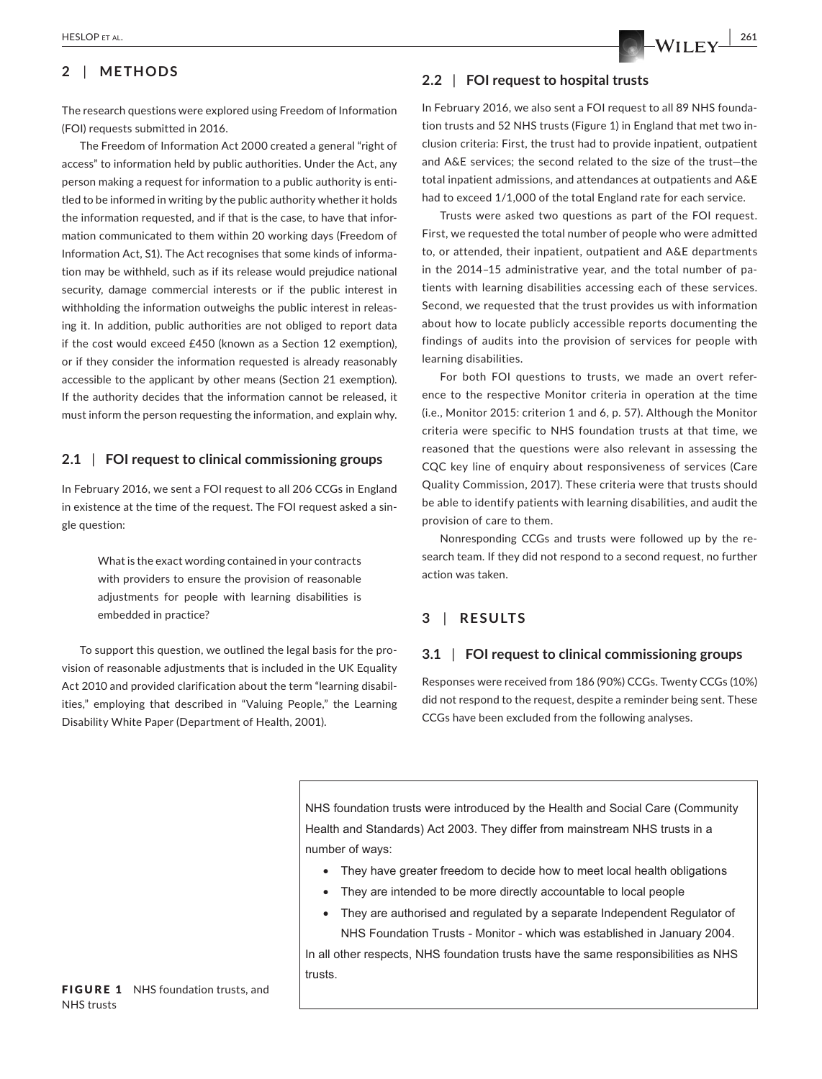## **2** | **METHODS**

The research questions were explored using Freedom of Information (FOI) requests submitted in 2016.

The Freedom of Information Act 2000 created a general "right of access" to information held by public authorities. Under the Act, any person making a request for information to a public authority is entitled to be informed in writing by the public authority whether it holds the information requested, and if that is the case, to have that information communicated to them within 20 working days (Freedom of Information Act, S1). The Act recognises that some kinds of information may be withheld, such as if its release would prejudice national security, damage commercial interests or if the public interest in withholding the information outweighs the public interest in releasing it. In addition, public authorities are not obliged to report data if the cost would exceed £450 (known as a Section 12 exemption), or if they consider the information requested is already reasonably accessible to the applicant by other means (Section 21 exemption). If the authority decides that the information cannot be released, it must inform the person requesting the information, and explain why.

#### **2.1** | **FOI request to clinical commissioning groups**

In February 2016, we sent a FOI request to all 206 CCGs in England in existence at the time of the request. The FOI request asked a single question:

> What is the exact wording contained in your contracts with providers to ensure the provision of reasonable adjustments for people with learning disabilities is embedded in practice?

To support this question, we outlined the legal basis for the provision of reasonable adjustments that is included in the UK Equality Act 2010 and provided clarification about the term "learning disabilities," employing that described in "Valuing People," the Learning Disability White Paper (Department of Health, 2001).

#### **2.2** | **FOI request to hospital trusts**

In February 2016, we also sent a FOI request to all 89 NHS foundation trusts and 52 NHS trusts (Figure 1) in England that met two inclusion criteria: First, the trust had to provide inpatient, outpatient and A&E services; the second related to the size of the trust—the total inpatient admissions, and attendances at outpatients and A&E had to exceed 1/1,000 of the total England rate for each service.

Trusts were asked two questions as part of the FOI request. First, we requested the total number of people who were admitted to, or attended, their inpatient, outpatient and A&E departments in the 2014–15 administrative year, and the total number of patients with learning disabilities accessing each of these services. Second, we requested that the trust provides us with information about how to locate publicly accessible reports documenting the findings of audits into the provision of services for people with learning disabilities.

For both FOI questions to trusts, we made an overt reference to the respective Monitor criteria in operation at the time (i.e., Monitor 2015: criterion 1 and 6, p. 57). Although the Monitor criteria were specific to NHS foundation trusts at that time, we reasoned that the questions were also relevant in assessing the CQC key line of enquiry about responsiveness of services (Care Quality Commission, 2017). These criteria were that trusts should be able to identify patients with learning disabilities, and audit the provision of care to them.

Nonresponding CCGs and trusts were followed up by the research team. If they did not respond to a second request, no further action was taken.

#### **3** | **RESULTS**

#### **3.1** | **FOI request to clinical commissioning groups**

Responses were received from 186 (90%) CCGs. Twenty CCGs (10%) did not respond to the request, despite a reminder being sent. These CCGs have been excluded from the following analyses.

NHS foundation trusts were introduced by the Health and Social Care (Community Health and Standards) Act 2003. They differ from mainstream NHS trusts in a number of ways:

- They have greater freedom to decide how to meet local health obligations
- They are intended to be more directly accountable to local people
- They are authorised and regulated by a separate Independent Regulator of NHS Foundation Trusts - Monitor - which was established in January 2004.

In all other respects, NHS foundation trusts have the same responsibilities as NHS trusts.

FIGURE 1 NHS foundation trusts, and NHS trusts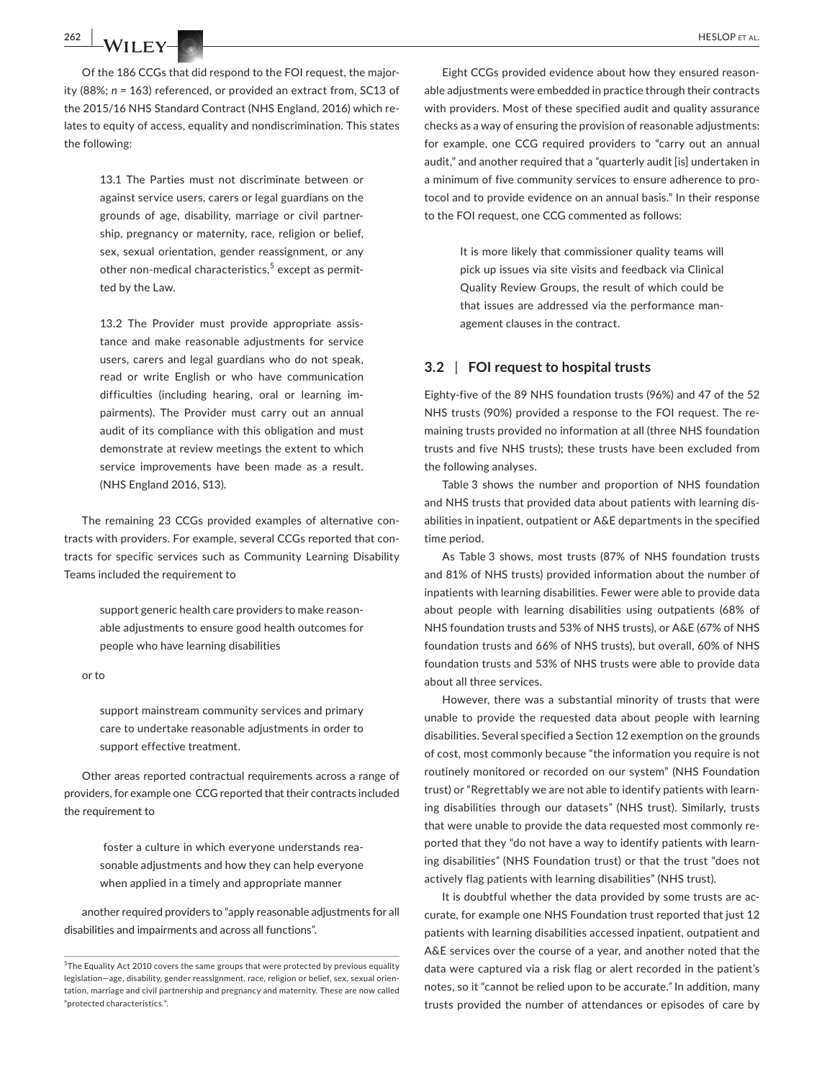**262 |1** *M* **II FV**  $\sim$  *C P ESLOP ET AL.* 

Of the 186 CCGs that did respond to the FOI request, the majority (88%; *n* = 163) referenced, or provided an extract from, SC13 of the 2015/16 NHS Standard Contract (NHS England, 2016) which relates to equity of access, equality and nondiscrimination. This states the following:

> 13.1 The Parties must not discriminate between or against service users, carers or legal guardians on the grounds of age, disability, marriage or civil partnership, pregnancy or maternity, race, religion or belief, sex, sexual orientation, gender reassignment, or any other non-medical characteristics,<sup>5</sup> except as permitted by the Law.

> 13.2 The Provider must provide appropriate assistance and make reasonable adjustments for service users, carers and legal guardians who do not speak, read or write English or who have communication difficulties (including hearing, oral or learning impairments). The Provider must carry out an annual audit of its compliance with this obligation and must demonstrate at review meetings the extent to which service improvements have been made as a result. (NHS England 2016, S13).

The remaining 23 CCGs provided examples of alternative contracts with providers. For example, several CCGs reported that contracts for specific services such as Community Learning Disability Teams included the requirement to

> support generic health care providers to make reasonable adjustments to ensure good health outcomes for people who have learning disabilities

or to

support mainstream community services and primary care to undertake reasonable adjustments in order to support effective treatment.

Other areas reported contractual requirements across a range of providers, for example one CCG reported that their contracts included the requirement to

> foster a culture in which everyone understands reasonable adjustments and how they can help everyone when applied in a timely and appropriate manner

another required providers to "apply reasonable adjustments for all disabilities and impairments and across all functions*".*

Eight CCGs provided evidence about how they ensured reasonable adjustments were embedded in practice through their contracts with providers. Most of these specified audit and quality assurance checks as a way of ensuring the provision of reasonable adjustments: for example, one CCG required providers to "carry out an annual audit," and another required that a *"*quarterly audit [is] undertaken in a minimum of five community services to ensure adherence to protocol and to provide evidence on an annual basis." In their response to the FOI request, one CCG commented as follows:

> It is more likely that commissioner quality teams will pick up issues via site visits and feedback via Clinical Quality Review Groups, the result of which could be that issues are addressed via the performance management clauses in the contract.

#### **3.2** | **FOI request to hospital trusts**

Eighty-five of the 89 NHS foundation trusts (96%) and 47 of the 52 NHS trusts (90%) provided a response to the FOI request. The remaining trusts provided no information at all (three NHS foundation trusts and five NHS trusts); these trusts have been excluded from the following analyses.

Table 3 shows the number and proportion of NHS foundation and NHS trusts that provided data about patients with learning disabilities in inpatient, outpatient or A&E departments in the specified time period.

As Table 3 shows, most trusts (87% of NHS foundation trusts and 81% of NHS trusts) provided information about the number of inpatients with learning disabilities. Fewer were able to provide data about people with learning disabilities using outpatients (68% of NHS foundation trusts and 53% of NHS trusts), or A&E (67% of NHS foundation trusts and 66% of NHS trusts), but overall, 60% of NHS foundation trusts and 53% of NHS trusts were able to provide data about all three services.

However, there was a substantial minority of trusts that were unable to provide the requested data about people with learning disabilities. Several specified a Section 12 exemption on the grounds of cost, most commonly because "the information you require is not routinely monitored or recorded on our system" (NHS Foundation trust) or "Regrettably we are not able to identify patients with learning disabilities through our datasets*"* (NHS trust). Similarly, trusts that were unable to provide the data requested most commonly reported that they "do not have a way to identify patients with learning disabilities*"* (NHS Foundation trust) or that the trust "does not actively flag patients with learning disabilities" (NHS trust).

It is doubtful whether the data provided by some trusts are accurate, for example one NHS Foundation trust reported that just 12 patients with learning disabilities accessed inpatient, outpatient and A&E services over the course of a year, and another noted that the data were captured via a risk flag or alert recorded in the patient's notes, so it "cannot be relied upon to be accurate.*"* In addition, many trusts provided the number of attendances or episodes of care by

 $5$ The Equality Act 2010 covers the same groups that were protected by previous equality legislation—age, disability, gender reassignment, race, religion or belief, sex, sexual orientation, marriage and civil partnership and pregnancy and maternity. These are now called "protected characteristics.".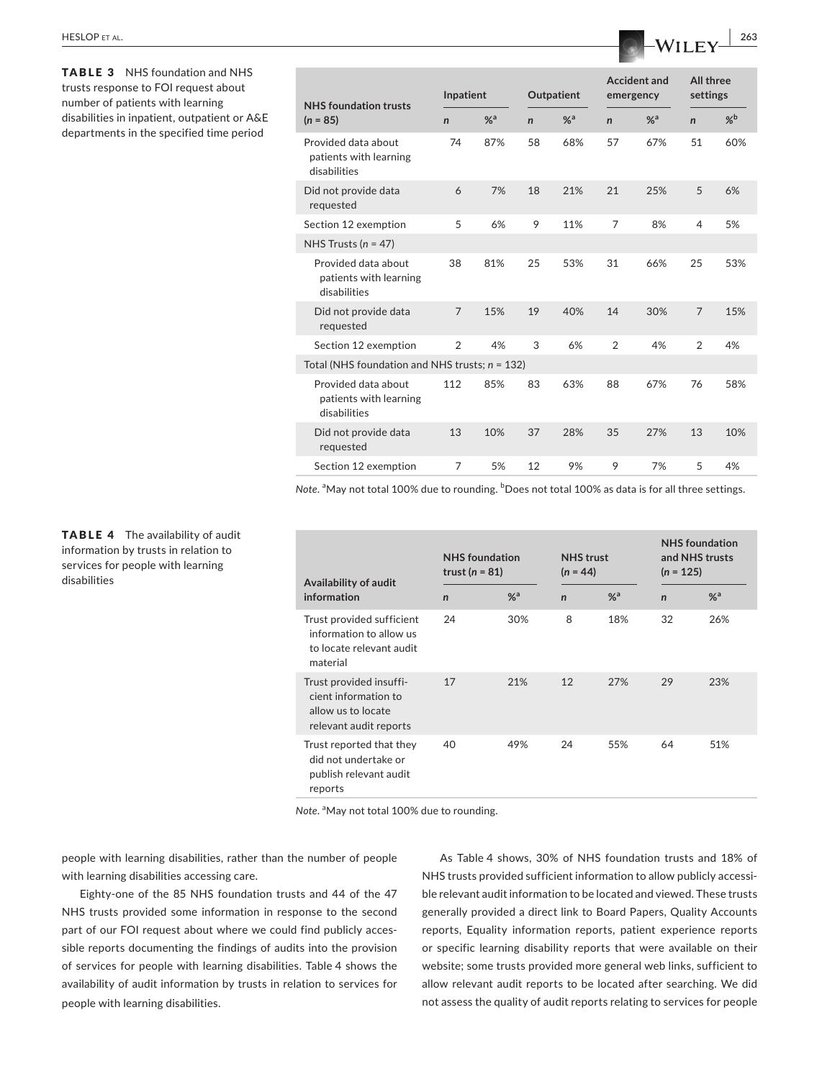| <b>TABLE 3</b> NHS foundation and NHS<br>trusts response to FOI request about<br>number of patients with learning<br>disabilities in inpatient, outpatient or A&E<br>departments in the specified time period | <b>NHS</b> foundation trusts                                  | Inpatient      |                  | Outpatient   | <b>Accident and</b><br>emergency |                | All three<br>settings |                |          |
|---------------------------------------------------------------------------------------------------------------------------------------------------------------------------------------------------------------|---------------------------------------------------------------|----------------|------------------|--------------|----------------------------------|----------------|-----------------------|----------------|----------|
|                                                                                                                                                                                                               | $(n = 85)$                                                    | $\mathsf{n}$   | $%$ <sup>a</sup> | $\mathsf{n}$ | $%$ <sup>a</sup>                 | $\mathsf{n}$   | $%$ <sup>a</sup>      | $\mathsf{n}$   | $% ^{b}$ |
|                                                                                                                                                                                                               | Provided data about<br>patients with learning<br>disabilities | 74             | 87%              | 58           | 68%                              | 57             | 67%                   | 51             | 60%      |
|                                                                                                                                                                                                               | Did not provide data<br>requested                             | 6              | 7%               | 18           | 21%                              | 21             | 25%                   | 5              | 6%       |
|                                                                                                                                                                                                               | Section 12 exemption                                          | 5              | 6%               | 9            | 11%                              | $\overline{7}$ | 8%                    | $\overline{4}$ | 5%       |
|                                                                                                                                                                                                               | NHS Trusts ( $n = 47$ )                                       |                |                  |              |                                  |                |                       |                |          |
|                                                                                                                                                                                                               | Provided data about<br>patients with learning<br>disabilities | 38             | 81%              | 25           | 53%                              | 31             | 66%                   | 25             | 53%      |
|                                                                                                                                                                                                               | Did not provide data<br>requested                             | $\overline{7}$ | 15%              | 19           | 40%                              | 14             | 30%                   | $\overline{7}$ | 15%      |
|                                                                                                                                                                                                               | Section 12 exemption                                          | 2              | 4%               | 3            | 6%                               | $\overline{2}$ | 4%                    | $\overline{2}$ | 4%       |
|                                                                                                                                                                                                               | Total (NHS foundation and NHS trusts; $n = 132$ )             |                |                  |              |                                  |                |                       |                |          |
|                                                                                                                                                                                                               | Provided data about<br>patients with learning<br>disabilities | 112            | 85%              | 83           | 63%                              | 88             | 67%                   | 76             | 58%      |
|                                                                                                                                                                                                               | Did not provide data<br>requested                             | 13             | 10%              | 37           | 28%                              | 35             | 27%                   | 13             | 10%      |
|                                                                                                                                                                                                               | Section 12 exemption                                          | 7              | 5%               | 12           | 9%                               | 9              | 7%                    | 5              | 4%       |

Note. <sup>a</sup>May not total 100% due to rounding. <sup>b</sup>Does not total 100% as data is for all three settings.

**NHS trust (***n* **= 44)**

*n* **%<sup>a</sup>** *n* **%<sup>a</sup>** *n* **%<sup>a</sup>**

24 30% 8 18% 32 26%

17 21% 12 27% 29 23%

40 49% 24 55% 64 51%

**NHS foundation and NHS trusts (***n* **= 125)**

**NHS foundation trust (***n* **= 81)**

|                                      | <b>TABLE 4</b> The availability of audit |  |  |  |  |  |  |
|--------------------------------------|------------------------------------------|--|--|--|--|--|--|
| information by trusts in relation to |                                          |  |  |  |  |  |  |
|                                      | services for people with learning        |  |  |  |  |  |  |
| disabilities                         |                                          |  |  |  |  |  |  |
|                                      |                                          |  |  |  |  |  |  |

| Note. <sup>a</sup> May not total 100% due to rounding. |  |
|--------------------------------------------------------|--|

**Availability of audit information**

material

reports

Trust provided sufficient information to allow us to locate relevant audit

Trust provided insufficient information to allow us to locate relevant audit reports

Trust reported that they did not undertake or publish relevant audit

people with learning disabilities, rather than the number of people with learning disabilities accessing care.

Eighty-one of the 85 NHS foundation trusts and 44 of the 47 NHS trusts provided some information in response to the second part of our FOI request about where we could find publicly accessible reports documenting the findings of audits into the provision of services for people with learning disabilities. Table 4 shows the availability of audit information by trusts in relation to services for people with learning disabilities.

As Table 4 shows, 30% of NHS foundation trusts and 18% of NHS trusts provided sufficient information to allow publicly accessible relevant audit information to be located and viewed. These trusts generally provided a direct link to Board Papers, Quality Accounts reports, Equality information reports, patient experience reports or specific learning disability reports that were available on their website; some trusts provided more general web links, sufficient to allow relevant audit reports to be located after searching. We did not assess the quality of audit reports relating to services for people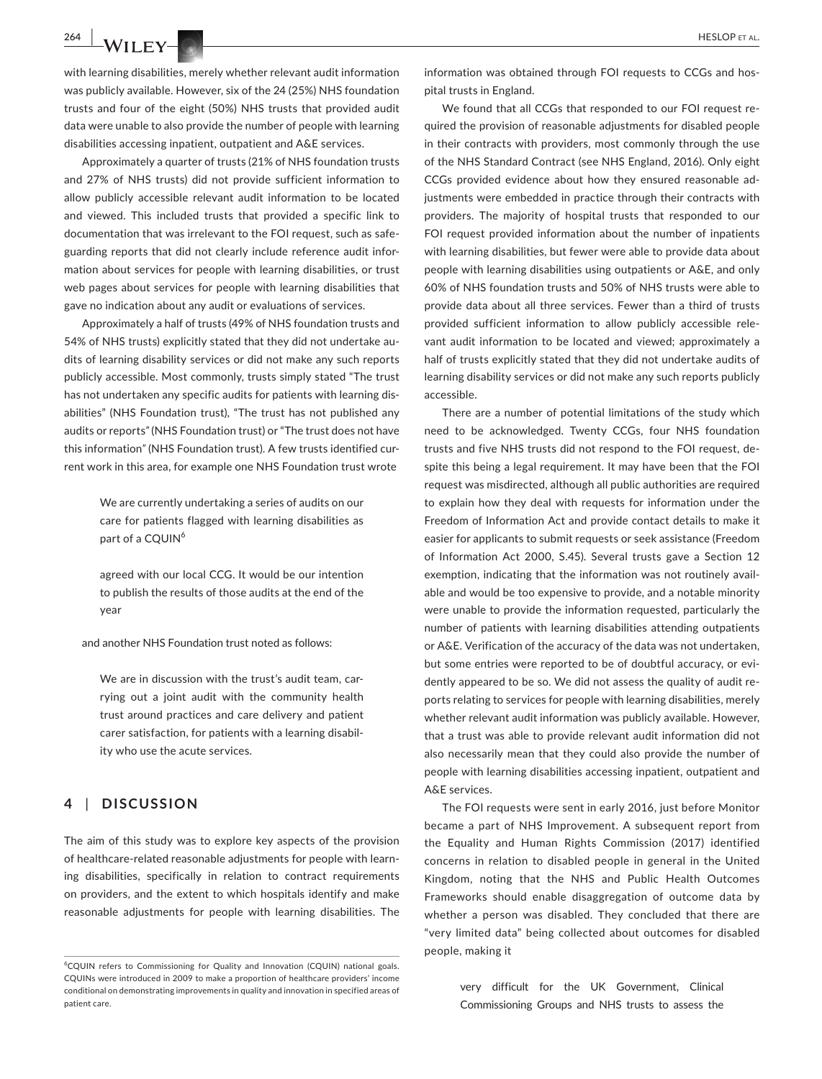**264 WILEY-OF EXAMPLE 200** 

with learning disabilities, merely whether relevant audit information was publicly available. However, six of the 24 (25%) NHS foundation trusts and four of the eight (50%) NHS trusts that provided audit data were unable to also provide the number of people with learning disabilities accessing inpatient, outpatient and A&E services.

Approximately a quarter of trusts (21% of NHS foundation trusts and 27% of NHS trusts) did not provide sufficient information to allow publicly accessible relevant audit information to be located and viewed. This included trusts that provided a specific link to documentation that was irrelevant to the FOI request, such as safeguarding reports that did not clearly include reference audit information about services for people with learning disabilities, or trust web pages about services for people with learning disabilities that gave no indication about any audit or evaluations of services.

Approximately a half of trusts (49% of NHS foundation trusts and 54% of NHS trusts) explicitly stated that they did not undertake audits of learning disability services or did not make any such reports publicly accessible. Most commonly, trusts simply stated "The trust has not undertaken any specific audits for patients with learning disabilities" (NHS Foundation trust), "The trust has not published any audits or reports*"* (NHS Foundation trust) or "The trust does not have this information*"* (NHS Foundation trust). A few trusts identified current work in this area, for example one NHS Foundation trust wrote

> We are currently undertaking a series of audits on our care for patients flagged with learning disabilities as part of a CQUIN<sup>6</sup>

> agreed with our local CCG. It would be our intention to publish the results of those audits at the end of the year

and another NHS Foundation trust noted as follows:

We are in discussion with the trust's audit team, carrying out a joint audit with the community health trust around practices and care delivery and patient carer satisfaction, for patients with a learning disability who use the acute services.

#### **4** | **DISCUSSION**

The aim of this study was to explore key aspects of the provision of healthcare-related reasonable adjustments for people with learning disabilities, specifically in relation to contract requirements on providers, and the extent to which hospitals identify and make reasonable adjustments for people with learning disabilities. The information was obtained through FOI requests to CCGs and hospital trusts in England.

We found that all CCGs that responded to our FOI request required the provision of reasonable adjustments for disabled people in their contracts with providers, most commonly through the use of the NHS Standard Contract (see NHS England, 2016). Only eight CCGs provided evidence about how they ensured reasonable adjustments were embedded in practice through their contracts with providers. The majority of hospital trusts that responded to our FOI request provided information about the number of inpatients with learning disabilities, but fewer were able to provide data about people with learning disabilities using outpatients or A&E, and only 60% of NHS foundation trusts and 50% of NHS trusts were able to provide data about all three services. Fewer than a third of trusts provided sufficient information to allow publicly accessible relevant audit information to be located and viewed; approximately a half of trusts explicitly stated that they did not undertake audits of learning disability services or did not make any such reports publicly accessible.

There are a number of potential limitations of the study which need to be acknowledged. Twenty CCGs, four NHS foundation trusts and five NHS trusts did not respond to the FOI request, despite this being a legal requirement. It may have been that the FOI request was misdirected, although all public authorities are required to explain how they deal with requests for information under the Freedom of Information Act and provide contact details to make it easier for applicants to submit requests or seek assistance (Freedom of Information Act 2000, S.45). Several trusts gave a Section 12 exemption, indicating that the information was not routinely available and would be too expensive to provide, and a notable minority were unable to provide the information requested, particularly the number of patients with learning disabilities attending outpatients or A&E. Verification of the accuracy of the data was not undertaken, but some entries were reported to be of doubtful accuracy, or evidently appeared to be so. We did not assess the quality of audit reports relating to services for people with learning disabilities, merely whether relevant audit information was publicly available. However, that a trust was able to provide relevant audit information did not also necessarily mean that they could also provide the number of people with learning disabilities accessing inpatient, outpatient and A&E services.

The FOI requests were sent in early 2016, just before Monitor became a part of NHS Improvement. A subsequent report from the Equality and Human Rights Commission (2017) identified concerns in relation to disabled people in general in the United Kingdom, noting that the NHS and Public Health Outcomes Frameworks should enable disaggregation of outcome data by whether a person was disabled. They concluded that there are "very limited data" being collected about outcomes for disabled people, making it

> very difficult for the UK Government, Clinical Commissioning Groups and NHS trusts to assess the

<sup>&</sup>lt;sup>6</sup>CQUIN refers to Commissioning for Quality and Innovation (CQUIN) national goals. CQUINs were introduced in 2009 to make a proportion of healthcare providers' income conditional on demonstrating improvements in quality and innovation in specified areas of patient care.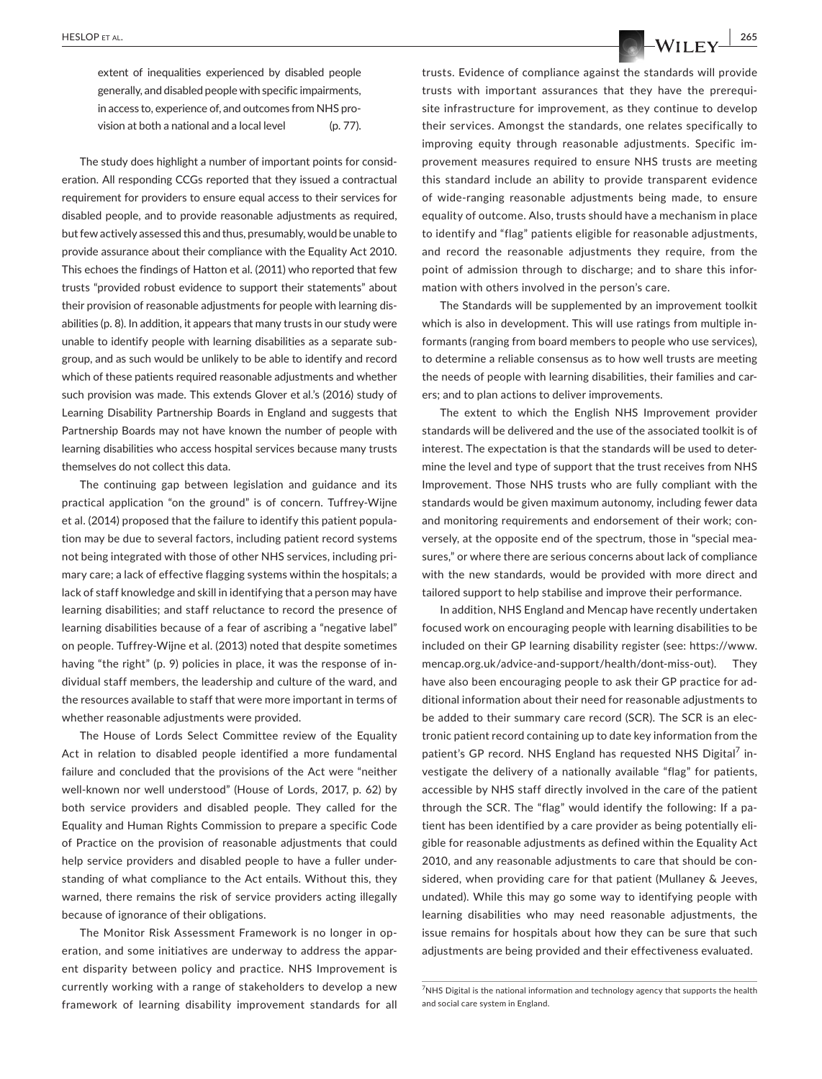extent of inequalities experienced by disabled people generally, and disabled people with specific impairments, in access to, experience of, and outcomes from NHS provision at both a national and a local level (p. 77).

The study does highlight a number of important points for consideration. All responding CCGs reported that they issued a contractual requirement for providers to ensure equal access to their services for disabled people, and to provide reasonable adjustments as required, but few actively assessed this and thus, presumably, would be unable to provide assurance about their compliance with the Equality Act 2010. This echoes the findings of Hatton et al. (2011) who reported that few trusts "provided robust evidence to support their statements" about their provision of reasonable adjustments for people with learning disabilities (p. 8). In addition, it appears that many trusts in our study were unable to identify people with learning disabilities as a separate subgroup, and as such would be unlikely to be able to identify and record which of these patients required reasonable adjustments and whether such provision was made. This extends Glover et al.'s (2016) study of Learning Disability Partnership Boards in England and suggests that Partnership Boards may not have known the number of people with learning disabilities who access hospital services because many trusts themselves do not collect this data.

The continuing gap between legislation and guidance and its practical application "on the ground" is of concern. Tuffrey-Wijne et al. (2014) proposed that the failure to identify this patient population may be due to several factors, including patient record systems not being integrated with those of other NHS services, including primary care; a lack of effective flagging systems within the hospitals; a lack of staff knowledge and skill in identifying that a person may have learning disabilities; and staff reluctance to record the presence of learning disabilities because of a fear of ascribing a "negative label" on people. Tuffrey-Wijne et al. (2013) noted that despite sometimes having "the right" (p. 9) policies in place, it was the response of individual staff members, the leadership and culture of the ward, and the resources available to staff that were more important in terms of whether reasonable adjustments were provided.

The House of Lords Select Committee review of the Equality Act in relation to disabled people identified a more fundamental failure and concluded that the provisions of the Act were "neither well-known nor well understood" (House of Lords, 2017, p. 62) by both service providers and disabled people. They called for the Equality and Human Rights Commission to prepare a specific Code of Practice on the provision of reasonable adjustments that could help service providers and disabled people to have a fuller understanding of what compliance to the Act entails. Without this, they warned, there remains the risk of service providers acting illegally because of ignorance of their obligations.

The Monitor Risk Assessment Framework is no longer in operation, and some initiatives are underway to address the apparent disparity between policy and practice. NHS Improvement is currently working with a range of stakeholders to develop a new framework of learning disability improvement standards for all trusts. Evidence of compliance against the standards will provide trusts with important assurances that they have the prerequisite infrastructure for improvement, as they continue to develop their services. Amongst the standards, one relates specifically to improving equity through reasonable adjustments. Specific improvement measures required to ensure NHS trusts are meeting this standard include an ability to provide transparent evidence of wide-ranging reasonable adjustments being made, to ensure equality of outcome. Also, trusts should have a mechanism in place to identify and "flag" patients eligible for reasonable adjustments, and record the reasonable adjustments they require, from the point of admission through to discharge; and to share this information with others involved in the person's care.

The Standards will be supplemented by an improvement toolkit which is also in development. This will use ratings from multiple informants (ranging from board members to people who use services), to determine a reliable consensus as to how well trusts are meeting the needs of people with learning disabilities, their families and carers; and to plan actions to deliver improvements.

The extent to which the English NHS Improvement provider standards will be delivered and the use of the associated toolkit is of interest. The expectation is that the standards will be used to determine the level and type of support that the trust receives from NHS Improvement. Those NHS trusts who are fully compliant with the standards would be given maximum autonomy, including fewer data and monitoring requirements and endorsement of their work; conversely, at the opposite end of the spectrum, those in "special measures," or where there are serious concerns about lack of compliance with the new standards, would be provided with more direct and tailored support to help stabilise and improve their performance.

In addition, NHS England and Mencap have recently undertaken focused work on encouraging people with learning disabilities to be included on their GP learning disability register (see: [https://www.](https://www.mencap.org.uk/advice-and-support/health/dont-miss-out) [mencap.org.uk/advice-and-support/health/dont-miss-out](https://www.mencap.org.uk/advice-and-support/health/dont-miss-out)). They have also been encouraging people to ask their GP practice for additional information about their need for reasonable adjustments to be added to their summary care record (SCR). The SCR is an electronic patient record containing up to date key information from the patient's GP record. NHS England has requested NHS Digital<sup>7</sup> investigate the delivery of a nationally available "flag" for patients, accessible by NHS staff directly involved in the care of the patient through the SCR. The "flag" would identify the following: If a patient has been identified by a care provider as being potentially eligible for reasonable adjustments as defined within the Equality Act 2010, and any reasonable adjustments to care that should be considered, when providing care for that patient (Mullaney & Jeeves, undated). While this may go some way to identifying people with learning disabilities who may need reasonable adjustments, the issue remains for hospitals about how they can be sure that such adjustments are being provided and their effectiveness evaluated.

 $<sup>7</sup>N$ HS Digital is the national information and technology agency that supports the health</sup> and social care system in England.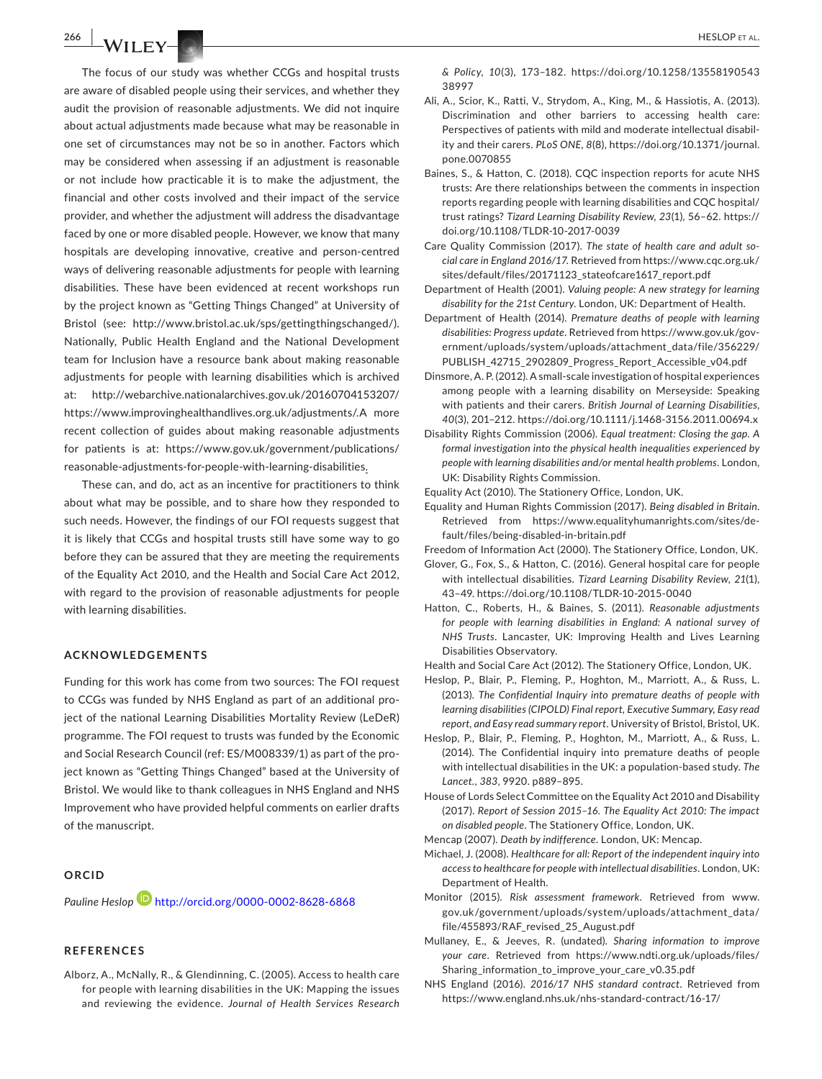**266 | WII FV-0** 

The focus of our study was whether CCGs and hospital trusts are aware of disabled people using their services, and whether they audit the provision of reasonable adjustments. We did not inquire about actual adjustments made because what may be reasonable in one set of circumstances may not be so in another. Factors which may be considered when assessing if an adjustment is reasonable or not include how practicable it is to make the adjustment, the financial and other costs involved and their impact of the service provider, and whether the adjustment will address the disadvantage faced by one or more disabled people. However, we know that many hospitals are developing innovative, creative and person-centred ways of delivering reasonable adjustments for people with learning disabilities. These have been evidenced at recent workshops run by the project known as "Getting Things Changed" at University of Bristol (see: <http://www.bristol.ac.uk/sps/gettingthingschanged/>). Nationally, Public Health England and the National Development team for Inclusion have a resource bank about making reasonable adjustments for people with learning disabilities which is archived at: [http://webarchive.nationalarchives.gov.uk/20160704153207/](http://webarchive.nationalarchives.gov.uk/20160704153207/https://www.improvinghealthandlives.org.uk/adjustments/.A) [https://www.improvinghealthandlives.org.uk/adjustments/.A](http://webarchive.nationalarchives.gov.uk/20160704153207/https://www.improvinghealthandlives.org.uk/adjustments/.A) more recent collection of guides about making reasonable adjustments for patients is at: [https://www.gov.uk/government/publications/](https://www.gov.uk/government/publications/reasonable-adjustments-for-people-with-learning-disabilities) [reasonable-adjustments-for-people-with-learning-disabilities](https://www.gov.uk/government/publications/reasonable-adjustments-for-people-with-learning-disabilities).

These can, and do, act as an incentive for practitioners to think about what may be possible, and to share how they responded to such needs. However, the findings of our FOI requests suggest that it is likely that CCGs and hospital trusts still have some way to go before they can be assured that they are meeting the requirements of the Equality Act 2010, and the Health and Social Care Act 2012, with regard to the provision of reasonable adjustments for people with learning disabilities.

#### **ACKNOWLEDGEMENTS**

Funding for this work has come from two sources: The FOI request to CCGs was funded by NHS England as part of an additional project of the national Learning Disabilities Mortality Review (LeDeR) programme. The FOI request to trusts was funded by the Economic and Social Research Council (ref: ES/M008339/1) as part of the project known as "Getting Things Changed" based at the University of Bristol. We would like to thank colleagues in NHS England and NHS Improvement who have provided helpful comments on earlier drafts of the manuscript.

#### **ORCID**

*Pauline Heslop* <http://orcid.org/0000-0002-8628-6868>

#### **REFERENCES**

Alborz, A., McNally, R., & Glendinning, C. (2005). Access to health care for people with learning disabilities in the UK: Mapping the issues and reviewing the evidence. *Journal of Health Services Research*  *& Policy*, *10*(3), 173–182. [https://doi.org/10.1258/13558190543](https://doi.org/10.1258/1355819054338997) [38997](https://doi.org/10.1258/1355819054338997)

- Ali, A., Scior, K., Ratti, V., Strydom, A., King, M., & Hassiotis, A. (2013). Discrimination and other barriers to accessing health care: Perspectives of patients with mild and moderate intellectual disability and their carers. *PLoS ONE*, *8*(8), [https://doi.org/10.1371/journal.](https://doi.org/10.1371/journal.pone.0070855) [pone.0070855](https://doi.org/10.1371/journal.pone.0070855)
- Baines, S., & Hatton, C. (2018). CQC inspection reports for acute NHS trusts: Are there relationships between the comments in inspection reports regarding people with learning disabilities and CQC hospital/ trust ratings? *Tizard Learning Disability Review*, *23*(1), 56–62. [https://](https://doi.org/10.1108/TLDR-10-2017-0039) [doi.org/10.1108/TLDR-10-2017-0039](https://doi.org/10.1108/TLDR-10-2017-0039)
- Care Quality Commission (2017). *The state of health care and adult social care in England 2016/17*. Retrieved from [https://www.cqc.org.uk/](https://www.cqc.org.uk/sites/default/files/20171123_stateofcare1617_report.pdf) [sites/default/files/20171123\\_stateofcare1617\\_report.pdf](https://www.cqc.org.uk/sites/default/files/20171123_stateofcare1617_report.pdf)
- Department of Health (2001). *Valuing people: A new strategy for learning disability for the 21st Century*. London, UK: Department of Health.
- Department of Health (2014). *Premature deaths of people with learning disabilities: Progress update*. Retrieved from [https://www.gov.uk/gov](https://www.gov.uk/government/uploads/system/uploads/attachment_data/file/356229/PUBLISH_42715_2902809_Progress_Report_Accessible_v04.pdf)[ernment/uploads/system/uploads/attachment\\_data/file/356229/](https://www.gov.uk/government/uploads/system/uploads/attachment_data/file/356229/PUBLISH_42715_2902809_Progress_Report_Accessible_v04.pdf) [PUBLISH\\_42715\\_2902809\\_Progress\\_Report\\_Accessible\\_v04.pdf](https://www.gov.uk/government/uploads/system/uploads/attachment_data/file/356229/PUBLISH_42715_2902809_Progress_Report_Accessible_v04.pdf)
- Dinsmore, A. P. (2012). A small-scale investigation of hospital experiences among people with a learning disability on Merseyside: Speaking with patients and their carers. *British Journal of Learning Disabilities*, *40*(3), 201–212.<https://doi.org/10.1111/j.1468-3156.2011.00694.x>
- Disability Rights Commission (2006). *Equal treatment: Closing the gap. A formal investigation into the physical health inequalities experienced by people with learning disabilities and/or mental health problems*. London, UK: Disability Rights Commission.
- Equality Act (2010). The Stationery Office, London, UK.
- Equality and Human Rights Commission (2017). *Being disabled in Britain*. Retrieved from [https://www.equalityhumanrights.com/sites/de](https://www.equalityhumanrights.com/sites/default/files/being-disabled-in-britain.pdf)[fault/files/being-disabled-in-britain.pdf](https://www.equalityhumanrights.com/sites/default/files/being-disabled-in-britain.pdf)
- Freedom of Information Act (2000). The Stationery Office, London, UK.
- Glover, G., Fox, S., & Hatton, C. (2016). General hospital care for people with intellectual disabilities. *Tizard Learning Disability Review*, *21*(1), 43–49. <https://doi.org/10.1108/TLDR-10-2015-0040>
- Hatton, C., Roberts, H., & Baines, S. (2011). *Reasonable adjustments for people with learning disabilities in England: A national survey of NHS Trusts*. Lancaster, UK: Improving Health and Lives Learning Disabilities Observatory.
- Health and Social Care Act (2012). The Stationery Office, London, UK.
- Heslop, P., Blair, P., Fleming, P., Hoghton, M., Marriott, A., & Russ, L. (2013). *The Confidential Inquiry into premature deaths of people with learning disabilities (CIPOLD) Final report, Executive Summary, Easy read report, and Easy read summary report*. University of Bristol, Bristol, UK.
- Heslop, P., Blair, P., Fleming, P., Hoghton, M., Marriott, A., & Russ, L. (2014). The Confidential inquiry into premature deaths of people with intellectual disabilities in the UK: a population-based study. *The Lancet.*, *383*, 9920. p889–895.
- House of Lords Select Committee on the Equality Act 2010 and Disability (2017). *Report of Session 2015–16. The Equality Act 2010: The impact on disabled people*. The Stationery Office, London, UK.
- Mencap (2007). *Death by indifference*. London, UK: Mencap.
- Michael, J. (2008). *Healthcare for all: Report of the independent inquiry into access to healthcare for people with intellectual disabilities*. London, UK: Department of Health.
- Monitor (2015). *Risk assessment framework*. Retrieved from [www.](http://www.gov.uk/government/uploads/system/uploads/attachment_data/file/455893/RAF_revised_25_August.pdf) [gov.uk/government/uploads/system/uploads/attachment\\_data/](http://www.gov.uk/government/uploads/system/uploads/attachment_data/file/455893/RAF_revised_25_August.pdf) [file/455893/RAF\\_revised\\_25\\_August.pdf](http://www.gov.uk/government/uploads/system/uploads/attachment_data/file/455893/RAF_revised_25_August.pdf)
- Mullaney, E., & Jeeves, R. (undated). *Sharing information to improve your care*. Retrieved from [https://www.ndti.org.uk/uploads/files/](https://www.ndti.org.uk/uploads/files/Sharing_information_to_improve_your_care_v0.35.pdf) [Sharing\\_information\\_to\\_improve\\_your\\_care\\_v0.35.pdf](https://www.ndti.org.uk/uploads/files/Sharing_information_to_improve_your_care_v0.35.pdf)
- NHS England (2016). *2016/17 NHS standard contract*. Retrieved from <https://www.england.nhs.uk/nhs-standard-contract/16-17/>